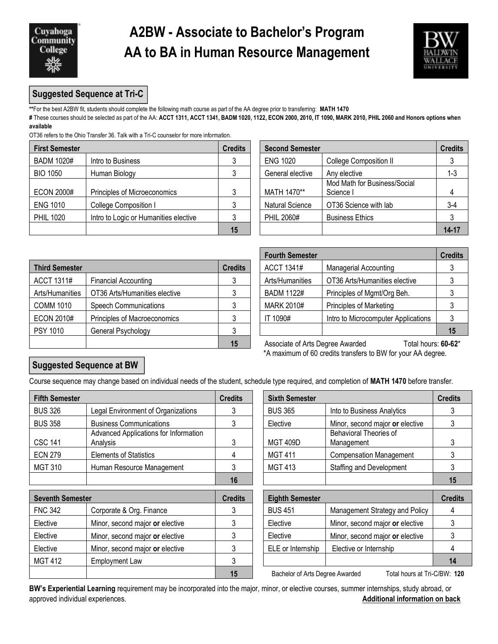

## **A2BW - Associate to Bachelor's Program AA to BA in Human Resource Management**



### **Suggested Sequence at Tri-C**

**\*\***For the best A2BW fit, students should complete the following math course as part of the AA degree prior to transferring: **MATH 1470**

**#** These courses should be selected as part of the AA: **ACCT 1311, ACCT 1341, BADM 1020, 1122, ECON 2000, 2010, IT 1090, MARK 2010, PHIL 2060 and Honors options when available** 

OT36 refers to the Ohio Transfer 36. Talk with a Tri-C counselor for more information.

| <b>First Semester</b> |                                       | <b>Credits</b> |                        | <b>Second Semester</b>                    |           |
|-----------------------|---------------------------------------|----------------|------------------------|-------------------------------------------|-----------|
| <b>BADM 1020#</b>     | Intro to Business                     |                | <b>ENG 1020</b>        | <b>College Composition II</b>             |           |
| <b>BIO 1050</b>       | Human Biology                         |                | General elective       | Any elective                              | $1 - 3$   |
| <b>ECON 2000#</b>     | Principles of Microeconomics          |                | MATH 1470**            | Mod Math for Business/Social<br>Science I |           |
| <b>ENG 1010</b>       | College Composition I                 |                | <b>Natural Science</b> | OT36 Science with lab                     | $3-4$     |
| <b>PHIL 1020</b>      | Intro to Logic or Humanities elective |                | PHIL 2060#             | <b>Business Ethics</b>                    |           |
|                       |                                       | 15             |                        |                                           | $14 - 17$ |

| edits        | <b>Second Semester</b> |                                           | <b>Credits</b> |
|--------------|------------------------|-------------------------------------------|----------------|
| $\mathbf{3}$ | <b>ENG 1020</b>        | College Composition II                    |                |
| $\mathbf{3}$ | General elective       | Any elective                              | $1 - 3$        |
| $\mathbf{3}$ | MATH 1470**            | Mod Math for Business/Social<br>Science I |                |
| $\mathbf{3}$ | Natural Science        | OT36 Science with lab                     | $3-4$          |
| 3            | PHIL 2060#             | <b>Business Ethics</b>                    |                |
| 15           |                        |                                           | 14-17          |

|                       |                               |                |                                                                | ו טעונוו שכוווכטנכו |                                     |    |
|-----------------------|-------------------------------|----------------|----------------------------------------------------------------|---------------------|-------------------------------------|----|
| <b>Third Semester</b> |                               | <b>Credits</b> |                                                                | ACCT 1341#          | <b>Managerial Accounting</b>        | 3  |
| ACCT 1311#            | <b>Financial Accounting</b>   |                |                                                                | Arts/Humanities     | OT36 Arts/Humanities elective       | 3  |
| Arts/Humanities       | OT36 Arts/Humanities elective |                |                                                                | <b>BADM 1122#</b>   | Principles of Mgmt/Org Beh.         | 3  |
| <b>COMM 1010</b>      | <b>Speech Communications</b>  |                |                                                                | <b>MARK 2010#</b>   | <b>Principles of Marketing</b>      | 3  |
| <b>ECON 2010#</b>     | Principles of Macroeconomics  |                |                                                                | IT 1090#            | Intro to Microcomputer Applications | 3  |
| <b>PSY 1010</b>       | General Psychology            |                |                                                                |                     |                                     | 15 |
|                       |                               | 15             | Associate of Arts Degree Awarded<br>Total hours: <b>60-6</b> 3 |                     |                                     |    |

| <b>Fourth Semester</b> |                                     | <b>Credits</b> |
|------------------------|-------------------------------------|----------------|
| <b>ACCT 1341#</b>      | <b>Managerial Accounting</b>        | 3              |
| Arts/Humanities        | OT36 Arts/Humanities elective       | 3              |
| <b>BADM 1122#</b>      | Principles of Mgmt/Org Beh.         | 3              |
| <b>MARK 2010#</b>      | <b>Principles of Marketing</b>      | 3              |
| IT 1090#               | Intro to Microcomputer Applications |                |
|                        |                                     | 15             |

**15** Associate of Arts Degree Awarded Total hours: **60-62**\* \*A maximum of 60 credits transfers to BW for your AA degree.

### **Suggested Sequence at BW**

Course sequence may change based on individual needs of the student, schedule type required, and completion of **MATH 1470** before transfer.

| <b>Fifth Semester</b>   |                                                   | <b>Credits</b> | <b>Sixth Semester</b>           |                                      | <b>Credits</b> |
|-------------------------|---------------------------------------------------|----------------|---------------------------------|--------------------------------------|----------------|
| <b>BUS 326</b>          | Legal Environment of Organizations                | 3              | <b>BUS 365</b>                  | Into to Business Analytics           |                |
| <b>BUS 358</b>          | <b>Business Communications</b>                    | 3              | Elective                        | Minor, second major or elective      |                |
| <b>CSC 141</b>          | Advanced Applications for Information<br>Analysis | 3              | <b>MGT 409D</b>                 | Behavioral Theories of<br>Management |                |
| <b>ECN 279</b>          | <b>Elements of Statistics</b>                     |                | <b>MGT 411</b>                  | <b>Compensation Management</b>       |                |
| <b>MGT 310</b>          | Human Resource Management                         | 3              | <b>MGT 413</b>                  | <b>Staffing and Development</b>      |                |
|                         |                                                   | 16             |                                 |                                      |                |
| <b>Seventh Semester</b> |                                                   | <b>Credits</b> | <b>Eighth Semester</b>          |                                      |                |
| <b>FNC 342</b>          | Corporate & Org. Finance                          | 3              | <b>BUS 451</b>                  | Management Strategy and Policy       |                |
| Elective                | Minor, second major or elective                   | 3              | Elective                        | Minor, second major or elective      |                |
| Elective                | Minor, second major or elective                   | 3              | Elective                        | Minor, second major or elective      |                |
| Elective                | Minor, second major or elective                   | 3              | ELE or Internship               | Elective or Internship               |                |
| <b>MGT 412</b>          | Employment Law                                    | 3              |                                 |                                      |                |
|                         |                                                   | 15             | Bachelor of Arts Degree Awarded | Total hours at Tri-C/RW: <b>120</b>  |                |

| dits           | <b>Sixth Semester</b>  |                                             | <b>Credits</b> |
|----------------|------------------------|---------------------------------------------|----------------|
| 3              | <b>BUS 365</b>         | Into to Business Analytics                  |                |
| 3              | Elective               | Minor, second major or elective             | 3              |
| $\mathbf{3}$   | <b>MGT 409D</b>        | <b>Behavioral Theories of</b><br>Management | 3              |
| $\overline{4}$ | <b>MGT 411</b>         | Compensation Management                     | 3              |
| 3              | <b>MGT 413</b>         | <b>Staffing and Development</b>             | 3              |
| 16             |                        |                                             | 15             |
| edits          | <b>Eighth Semester</b> |                                             | <b>Credits</b> |
| 3              | <b>BUS 451</b>         | Management Strategy and Policy              |                |
| $\mathbf{3}$   | Elective               | Minor, second major or elective             | 3              |
| $\mathcal{E}$  | Flective               | Minor second major or elective              |                |

**120** Bachelor of Arts Degree Awarded Total hours at Tri-C/BW: 120

**BW's Experiential Learning** requirement may be incorporated into the major, minor, or elective courses, summer internships, study abroad, or approved individual experiences. **Additional information on back**